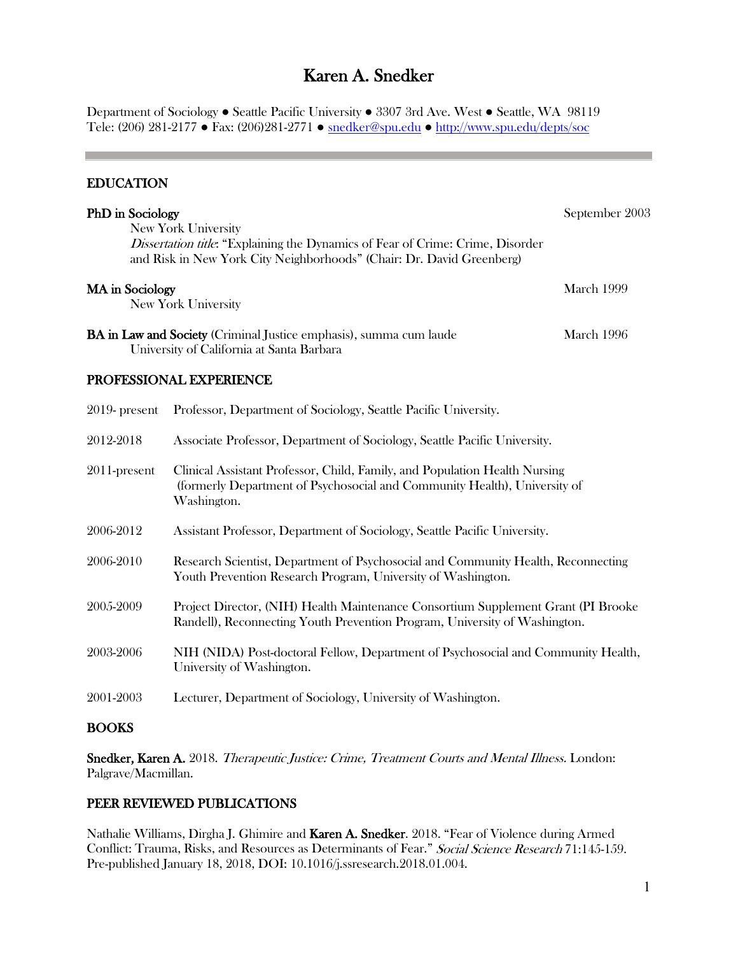# Karen A. Snedker

Department of Sociology ● Seattle Pacific University ● 3307 3rd Ave. West ● Seattle, WA 98119 Tele: (206) 281-2177 ● Fax: (206)281-2771 ● [snedker@spu.edu](mailto:snedker@spu.edu) ● <http://www.spu.edu/depts/soc>

#### EDUCATION

| <b>PhD</b> in Sociology                                                                                                                                                                | September 2003    |
|----------------------------------------------------------------------------------------------------------------------------------------------------------------------------------------|-------------------|
| New York University<br><i>Dissertation title</i> : "Explaining the Dynamics of Fear of Crime: Crime, Disorder<br>and Risk in New York City Neighborhoods" (Chair: Dr. David Greenberg) |                   |
| MA in Sociology<br>New York University                                                                                                                                                 | <b>March 1999</b> |
| <b>BA</b> in Law and Society (Criminal Justice emphasis), summa cum laude<br>University of California at Santa Barbara                                                                 | March 1996        |

#### PROFESSIONAL EXPERIENCE

| $2019$ - present | Professor, Department of Sociology, Seattle Pacific University.                                                                                                        |
|------------------|------------------------------------------------------------------------------------------------------------------------------------------------------------------------|
| 2012-2018        | Associate Professor, Department of Sociology, Seattle Pacific University.                                                                                              |
| 2011-present     | Clinical Assistant Professor, Child, Family, and Population Health Nursing<br>(formerly Department of Psychosocial and Community Health), University of<br>Washington. |
| 2006-2012        | Assistant Professor, Department of Sociology, Seattle Pacific University.                                                                                              |
| 2006-2010        | Research Scientist, Department of Psychosocial and Community Health, Reconnecting<br>Youth Prevention Research Program, University of Washington.                      |
| 2005-2009        | Project Director, (NIH) Health Maintenance Consortium Supplement Grant (PI Brooke<br>Randell), Reconnecting Youth Prevention Program, University of Washington.        |
| 2003-2006        | NIH (NIDA) Post-doctoral Fellow, Department of Psychosocial and Community Health,<br>University of Washington.                                                         |
| 2001-2003        | Lecturer, Department of Sociology, University of Washington.                                                                                                           |
| <b>BOOKS</b>     |                                                                                                                                                                        |

Snedker, Karen A. 2018. Therapeutic Justice: Crime, Treatment Courts and Mental Illness. London: Palgrave/Macmillan.

#### PEER REVIEWED PUBLICATIONS

Nathalie Williams, Dirgha J. Ghimire and Karen A. Snedker. 2018. "Fear of Violence during Armed Conflict: Trauma, Risks, and Resources as Determinants of Fear." Social Science Research 71:145-159. Pre-published January 18, 2018, DOI: 10.1016/j.ssresearch.2018.01.004.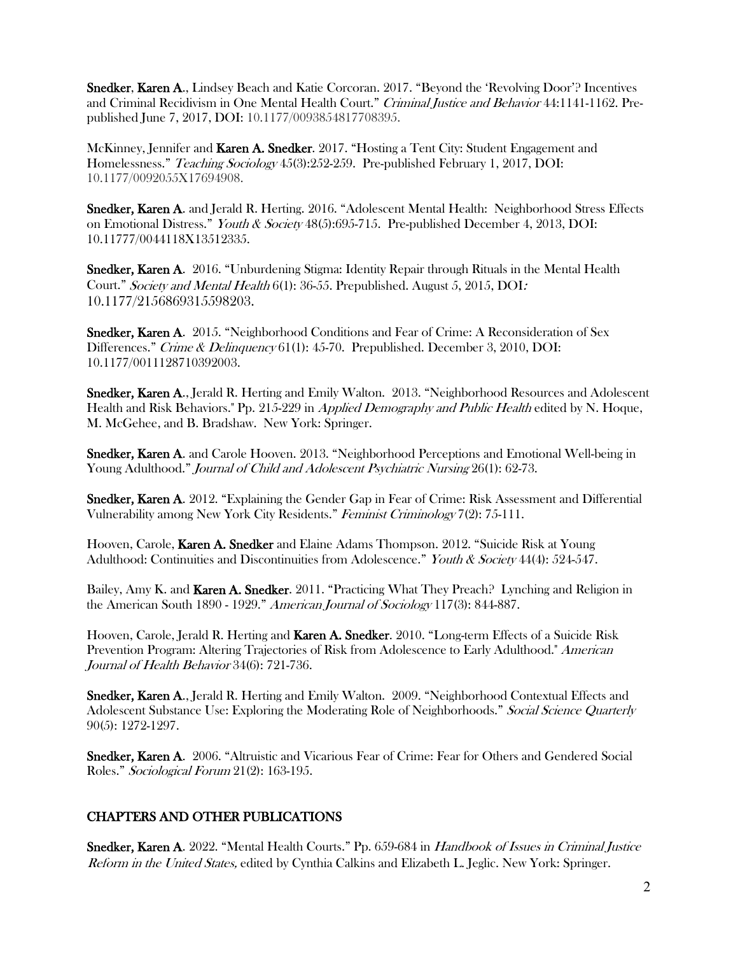Snedker, Karen A., Lindsey Beach and Katie Corcoran. 2017. "Beyond the 'Revolving Door'? Incentives and Criminal Recidivism in One Mental Health Court." Criminal Justice and Behavior 44:1141-1162. Prepublished June 7, 2017, DOI: 10.1177/0093854817708395.

McKinney, Jennifer and Karen A. Snedker. 2017. "Hosting a Tent City: Student Engagement and Homelessness." Teaching Sociology 45(3):252-259. Pre-published February 1, 2017, DOI: 10.1177/0092055X17694908.

Snedker, Karen A. and Jerald R. Herting. 2016. "Adolescent Mental Health: Neighborhood Stress Effects on Emotional Distress." Youth & Society 48(5):695-715. Pre-published December 4, 2013, DOI: 10.11777/0044118X13512335.

Snedker, Karen A. 2016. "Unburdening Stigma: Identity Repair through Rituals in the Mental Health Court." Society and Mental Health 6(1): 36-55. Prepublished. August 5, 2015, DOI: 10.1177/2156869315598203.

Snedker, Karen A. 2015. "Neighborhood Conditions and Fear of Crime: A Reconsideration of Sex Differences." Crime & Delinquency 61(1): 45-70. Prepublished. December 3, 2010, DOI: 10.1177/0011128710392003.

Snedker, Karen A., Jerald R. Herting and Emily Walton. 2013. "Neighborhood Resources and Adolescent Health and Risk Behaviors." Pp. 215-229 in Applied Demography and Public Health edited by N. Hoque, M. McGehee, and B. Bradshaw. New York: Springer.

Snedker, Karen A. and Carole Hooven. 2013. "Neighborhood Perceptions and Emotional Well-being in Young Adulthood." Journal of Child and Adolescent Psychiatric Nursing 26(1): 62-73.

Snedker, Karen A. 2012. "Explaining the Gender Gap in Fear of Crime: Risk Assessment and Differential Vulnerability among New York City Residents." Feminist Criminology 7(2): 75-111.

Hooven, Carole, Karen A. Snedker and Elaine Adams Thompson. 2012. "Suicide Risk at Young Adulthood: Continuities and Discontinuities from Adolescence." Youth & Society 44(4): 524-547.

Bailey, Amy K. and Karen A. Snedker. 2011. "Practicing What They Preach? Lynching and Religion in the American South 1890 - 1929." American Journal of Sociology 117(3): 844-887.

Hooven, Carole, Jerald R. Herting and Karen A. Snedker. 2010. "Long-term Effects of a Suicide Risk Prevention Program: Altering Trajectories of Risk from Adolescence to Early Adulthood." American Journal of Health Behavior 34(6): 721-736.

Snedker, Karen A., Jerald R. Herting and Emily Walton. 2009. "Neighborhood Contextual Effects and Adolescent Substance Use: Exploring the Moderating Role of Neighborhoods." Social Science Quarterly 90(5): 1272-1297.

Snedker, Karen A. 2006. "Altruistic and Vicarious Fear of Crime: Fear for Others and Gendered Social Roles." Sociological Forum 21(2): 163-195.

#### CHAPTERS AND OTHER PUBLICATIONS

Snedker, Karen A. 2022. "Mental Health Courts." Pp. 659-684 in Handbook of Issues in Criminal Justice Reform in the United States, edited by Cynthia Calkins and Elizabeth L. Jeglic. New York: Springer.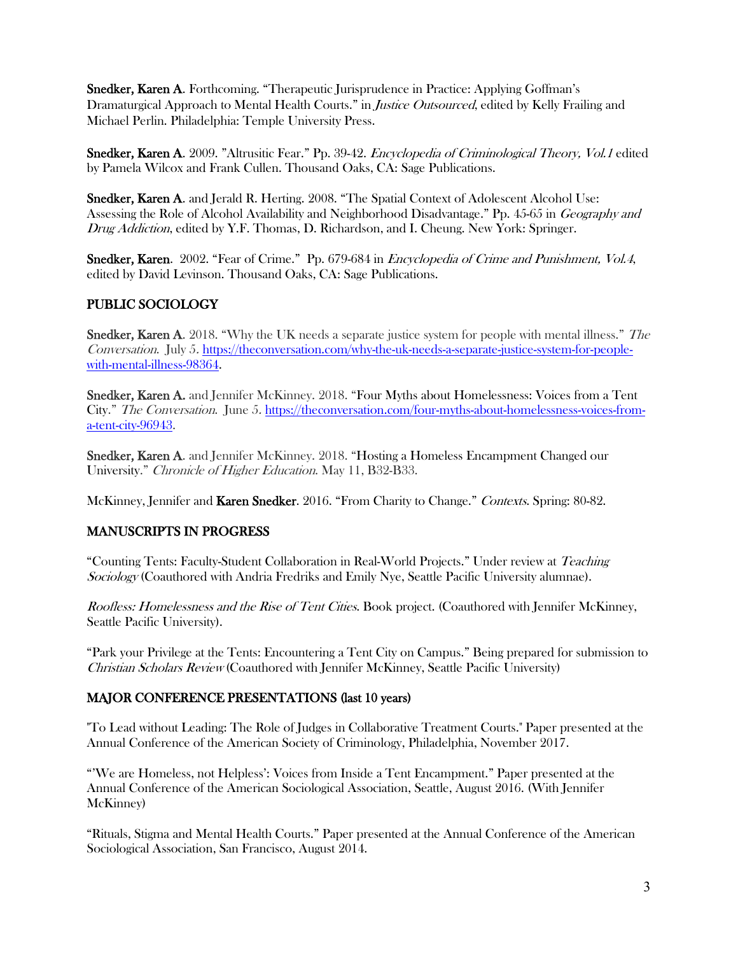Snedker, Karen A. Forthcoming. "Therapeutic Jurisprudence in Practice: Applying Goffman's Dramaturgical Approach to Mental Health Courts." in *Justice Outsourced*, edited by Kelly Frailing and Michael Perlin. Philadelphia: Temple University Press.

Snedker, Karen A. 2009. "Altrusitic Fear." Pp. 39-42. *Encyclopedia of Criminological Theory, Vol.1* edited by Pamela Wilcox and Frank Cullen. Thousand Oaks, CA: Sage Publications.

Snedker, Karen A. and Jerald R. Herting. 2008. "The Spatial Context of Adolescent Alcohol Use: Assessing the Role of Alcohol Availability and Neighborhood Disadvantage." Pp. 45-65 in Geography and Drug Addiction, edited by Y.F. Thomas, D. Richardson, and I. Cheung. New York: Springer.

Snedker, Karen. 2002. "Fear of Crime." Pp. 679-684 in *Encyclopedia of Crime and Punishment, Vol.4*, edited by David Levinson. Thousand Oaks, CA: Sage Publications.

# PUBLIC SOCIOLOGY

Snedker, Karen A. 2018. "Why the UK needs a separate justice system for people with mental illness." The Conversation. July 5. [https://theconversation.com/why-the-uk-needs-a-separate-justice-system-for-people](https://theconversation.com/why-the-uk-needs-a-separate-justice-system-for-people-with-mental-illness-98364)[with-mental-illness-98364.](https://theconversation.com/why-the-uk-needs-a-separate-justice-system-for-people-with-mental-illness-98364)

Snedker, Karen A. and Jennifer McKinney. 2018. "Four Myths about Homelessness: Voices from a Tent City." The Conversation. June 5. [https://theconversation.com/four-myths-about-homelessness-voices-from](https://theconversation.com/four-myths-about-homelessness-voices-from-a-tent-city-96943)[a-tent-city-96943.](https://theconversation.com/four-myths-about-homelessness-voices-from-a-tent-city-96943)

Snedker, Karen A. and Jennifer McKinney. 2018. "Hosting a Homeless Encampment Changed our University." Chronicle of Higher Education. May 11, B32-B33.

McKinney, Jennifer and Karen Snedker. 2016. "From Charity to Change." Contexts. Spring: 80-82.

#### MANUSCRIPTS IN PROGRESS

"Counting Tents: Faculty-Student Collaboration in Real-World Projects." Under review at Teaching Sociology (Coauthored with Andria Fredriks and Emily Nye, Seattle Pacific University alumnae).

Roofless: Homelessness and the Rise of Tent Cities. Book project. (Coauthored with Jennifer McKinney, Seattle Pacific University).

"Park your Privilege at the Tents: Encountering a Tent City on Campus." Being prepared for submission to Christian Scholars Review (Coauthored with Jennifer McKinney, Seattle Pacific University)

#### MAJOR CONFERENCE PRESENTATIONS (last 10 years)

"To Lead without Leading: The Role of Judges in Collaborative Treatment Courts." Paper presented at the Annual Conference of the American Society of Criminology, Philadelphia, November 2017.

"'We are Homeless, not Helpless': Voices from Inside a Tent Encampment." Paper presented at the Annual Conference of the American Sociological Association, Seattle, August 2016. (With Jennifer McKinney)

"Rituals, Stigma and Mental Health Courts." Paper presented at the Annual Conference of the American Sociological Association, San Francisco, August 2014.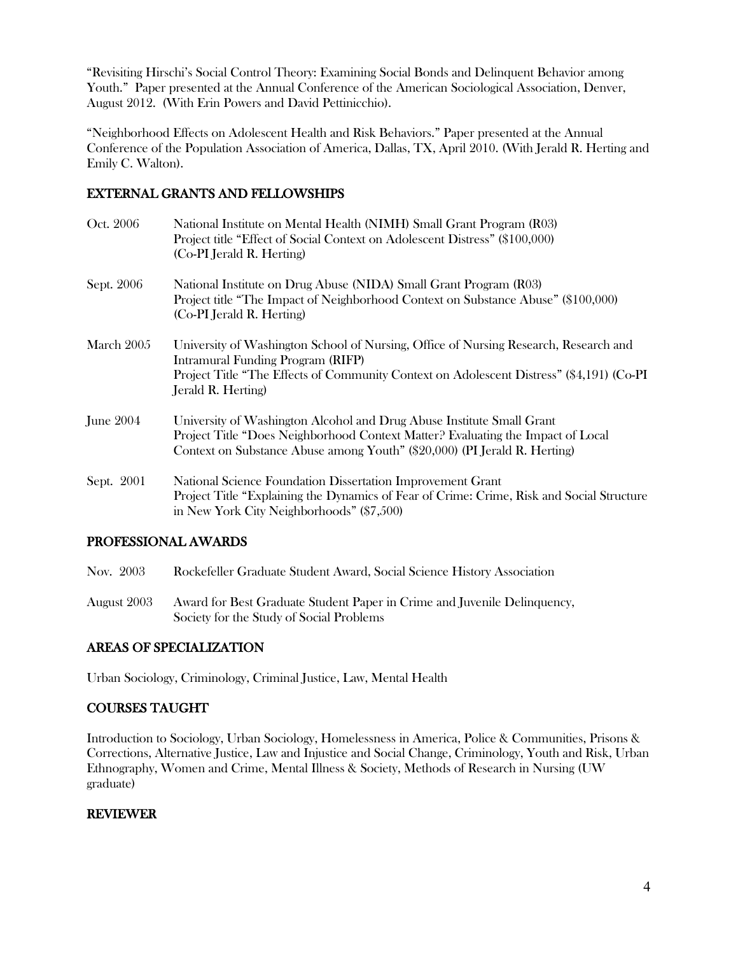"Revisiting Hirschi's Social Control Theory: Examining Social Bonds and Delinquent Behavior among Youth." Paper presented at the Annual Conference of the American Sociological Association, Denver, August 2012. (With Erin Powers and David Pettinicchio).

"Neighborhood Effects on Adolescent Health and Risk Behaviors." Paper presented at the Annual Conference of the Population Association of America, Dallas, TX, April 2010. (With Jerald R. Herting and Emily C. Walton).

# EXTERNAL GRANTS AND FELLOWSHIPS

| Oct. 2006         | National Institute on Mental Health (NIMH) Small Grant Program (R03)<br>Project title "Effect of Social Context on Adolescent Distress" (\$100,000)<br>(Co-PI Jerald R. Herting)                                                            |
|-------------------|---------------------------------------------------------------------------------------------------------------------------------------------------------------------------------------------------------------------------------------------|
| Sept. 2006        | National Institute on Drug Abuse (NIDA) Small Grant Program (R03)<br>Project title "The Impact of Neighborhood Context on Substance Abuse" (\$100,000)<br>(Co-PI Jerald R. Herting)                                                         |
| March 2005        | University of Washington School of Nursing, Office of Nursing Research, Research and<br>Intramural Funding Program (RIFP)<br>Project Title "The Effects of Community Context on Adolescent Distress" (\$4,191) (Co-PI<br>Jerald R. Herting) |
| <b>J</b> une 2004 | University of Washington Alcohol and Drug Abuse Institute Small Grant<br>Project Title "Does Neighborhood Context Matter? Evaluating the Impact of Local<br>Context on Substance Abuse among Youth" (\$20,000) (PI Jerald R. Herting)       |
| Sept. 2001        | National Science Foundation Dissertation Improvement Grant<br>Project Title "Explaining the Dynamics of Fear of Crime: Crime, Risk and Social Structure<br>in New York City Neighborhoods" (\$7,500)                                        |

## PROFESSIONAL AWARDS

- Nov. 2003 Rockefeller Graduate Student Award, Social Science History Association
- August 2003 Award for Best Graduate Student Paper in Crime and Juvenile Delinquency, Society for the Study of Social Problems

## AREAS OF SPECIALIZATION

Urban Sociology, Criminology, Criminal Justice, Law, Mental Health

## COURSES TAUGHT

Introduction to Sociology, Urban Sociology, Homelessness in America, Police & Communities, Prisons & Corrections, Alternative Justice, Law and Injustice and Social Change, Criminology, Youth and Risk, Urban Ethnography, Women and Crime, Mental Illness & Society, Methods of Research in Nursing (UW graduate)

#### REVIEWER